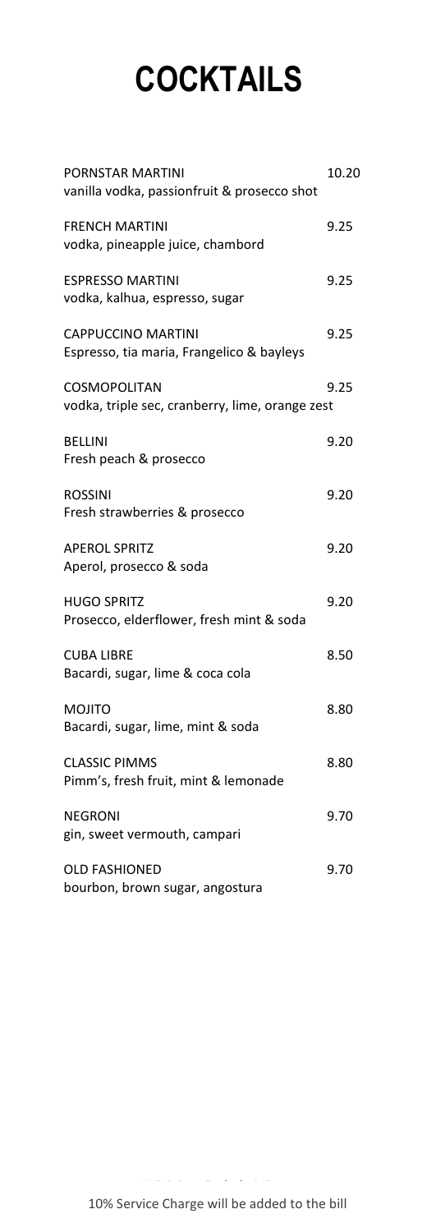# **COCKTAILS**

| PORNSTAR MARTINI<br>vanilla vodka, passionfruit & prosecco shot        | 10.20 |
|------------------------------------------------------------------------|-------|
| <b>FRENCH MARTINI</b><br>vodka, pineapple juice, chambord              | 9.25  |
| <b>ESPRESSO MARTINI</b><br>vodka, kalhua, espresso, sugar              | 9.25  |
| <b>CAPPUCCINO MARTINI</b><br>Espresso, tia maria, Frangelico & bayleys | 9.25  |
| <b>COSMOPOLITAN</b><br>vodka, triple sec, cranberry, lime, orange zest | 9.25  |
| <b>BELLINI</b><br>Fresh peach & prosecco                               | 9.20  |
| <b>ROSSINI</b><br>Fresh strawberries & prosecco                        | 9.20  |
| <b>APEROL SPRITZ</b><br>Aperol, prosecco & soda                        | 9.20  |
| <b>HUGO SPRITZ</b><br>Prosecco, elderflower, fresh mint & soda         | 9.20  |
| <b>CUBA LIBRE</b><br>Bacardi, sugar, lime & coca cola                  | 8.50  |
| MOJITO<br>Bacardi, sugar, lime, mint & soda                            | 8.80  |
| <b>CLASSIC PIMMS</b><br>Pimm's, fresh fruit, mint & lemonade           | 8.80  |
| <b>NEGRONI</b><br>gin, sweet vermouth, campari                         | 9.70  |
| <b>OLD FASHIONED</b><br>bourbon, brown sugar, angostura                | 9.70  |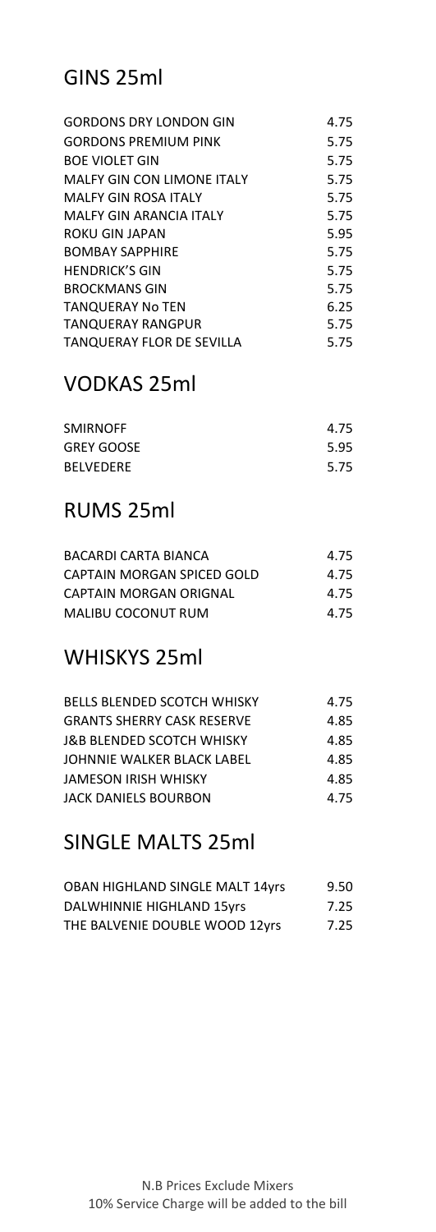# GINS 25ml

| <b>GORDONS DRY LONDON GIN</b>     | 4.75 |
|-----------------------------------|------|
| <b>GORDONS PREMIUM PINK</b>       | 5.75 |
| <b>BOE VIOLET GIN</b>             | 5.75 |
| <b>MALFY GIN CON LIMONE ITALY</b> | 5.75 |
| <b>MALFY GIN ROSA ITALY</b>       | 5.75 |
| MALEY GIN ARANCIA ITALY           | 5.75 |
| ROKU GIN JAPAN                    | 5.95 |
| <b>BOMBAY SAPPHIRE</b>            | 5.75 |
| <b>HENDRICK'S GIN</b>             | 5.75 |
| <b>BROCKMANS GIN</b>              | 5.75 |
| TANQUERAY No TEN                  | 6.25 |
| TANQUERAY RANGPUR                 | 5.75 |
| <b>TANQUERAY FLOR DE SEVILLA</b>  | 5.75 |

# VODKAS 25ml

| <b>SMIRNOFF</b>   | 4.75 |
|-------------------|------|
| <b>GREY GOOSE</b> | 5.95 |
| <b>BEIVEDERE</b>  | 5.75 |

### RUMS 25ml

| BACARDI CARTA BIANCA       | 4.75 |
|----------------------------|------|
| CAPTAIN MORGAN SPICED GOLD | 4.75 |
| CAPTAIN MORGAN ORIGNAL     | 4.75 |
| MALIBU COCONUT RUM         | 4.75 |

### WHISKYS 25ml

| <b>BELLS BLENDED SCOTCH WHISKY</b> | 4.75 |
|------------------------------------|------|
| <b>GRANTS SHERRY CASK RESERVE</b>  | 4.85 |
| J&B BLENDED SCOTCH WHISKY          | 4.85 |
| JOHNNIE WALKER BLACK LABEL         | 4.85 |
| JAMESON IRISH WHISKY               | 485  |
| JACK DANIELS BOURBON               | 4.75 |

### SINGLE MALTS 25ml

| OBAN HIGHLAND SINGLE MALT 14yrs | 9.50 |
|---------------------------------|------|
| DALWHINNIE HIGHLAND 15yrs       | 7.25 |
| THE BALVENIE DOUBLE WOOD 12yrs  | 7.25 |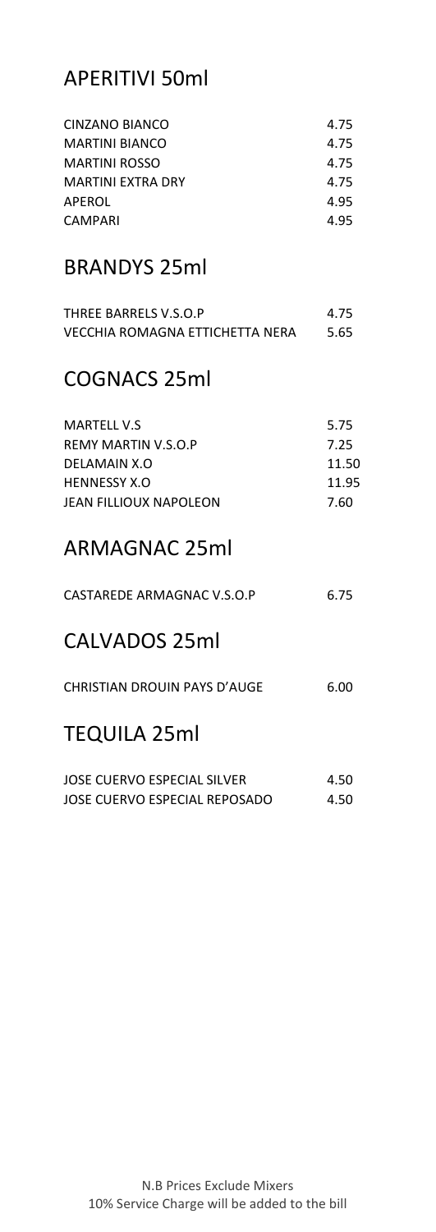# APERITIVI 50ml

| CINZANO BIANCO        | 4.75 |
|-----------------------|------|
| <b>MARTINI BIANCO</b> | 4.75 |
| <b>MARTINI ROSSO</b>  | 4.75 |
| MARTINI FXTRA DRY     | 4.75 |
| APEROL                | 4.95 |
| CAMPARI               | 4.95 |
|                       |      |

#### BRANDYS 25ml

| THREE BARRELS V.S.O.P           | 4.75 |
|---------------------------------|------|
| VECCHIA ROMAGNA ETTICHETTA NERA | 5.65 |

#### COGNACS 25ml

| MARTELL V.S            | 5.75  |
|------------------------|-------|
| REMY MARTIN V.S.O.P    | 7.25  |
| DELAMAIN X.O           | 11.50 |
| <b>HENNESSY X.O</b>    | 11.95 |
| JEAN FILLIOUX NAPOLEON | 7.60  |

# ARMAGNAC 25ml

| CASTAREDE ARMAGNAC V.S.O.P   | 6.75  |
|------------------------------|-------|
| CALVADOS 25ml                |       |
| CHRISTIAN DROUIN PAYS D'AUGE | 6.00. |

#### TEQUILA 25ml

| JOSE CUERVO ESPECIAL SILVER   | 4.50 |
|-------------------------------|------|
| JOSE CUERVO ESPECIAL REPOSADO | 4.50 |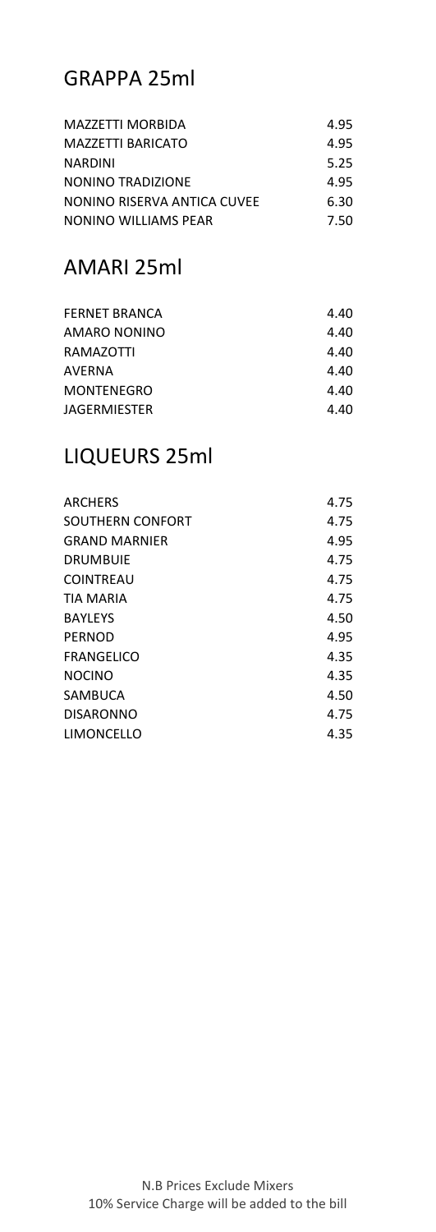# GRAPPA 25ml

| MAZZETTI MORBIDA            | 4.95 |
|-----------------------------|------|
| MAZZETTI BARICATO           | 4.95 |
| <b>NARDINI</b>              | 5.25 |
| NONINO TRADIZIONE           | 495  |
| NONINO RISERVA ANTICA CUVEE | 6.30 |
| NONINO WILLIAMS PEAR        | 7.50 |

### AMARI 25ml

| <b>FERNET BRANCA</b> | 4.40 |
|----------------------|------|
| AMARO NONINO         | 4.40 |
| RAMAZOTTI            | 4.40 |
| AVERNA               | 4.40 |
| <b>MONTENEGRO</b>    | 4.40 |
| JAGERMIESTER         | 4.40 |
|                      |      |

#### LIQUEURS 25ml

| ARCHERS          | 4.75 |
|------------------|------|
| SOUTHERN CONFORT | 4.75 |
| GRAND MARNIFR    | 4.95 |
| DRUMBUIF         | 4.75 |
| COINTREAU        | 4.75 |
| TIA MARIA        | 4.75 |
| <b>BAYLEYS</b>   | 4.50 |
| PERNOD           | 4.95 |
| FRANGELICO       | 4.35 |
| <b>NOCINO</b>    | 4.35 |
| SAMBUCA          | 4.50 |
| <b>DISARONNO</b> | 4.75 |
| LIMONCELLO       | 4.35 |
|                  |      |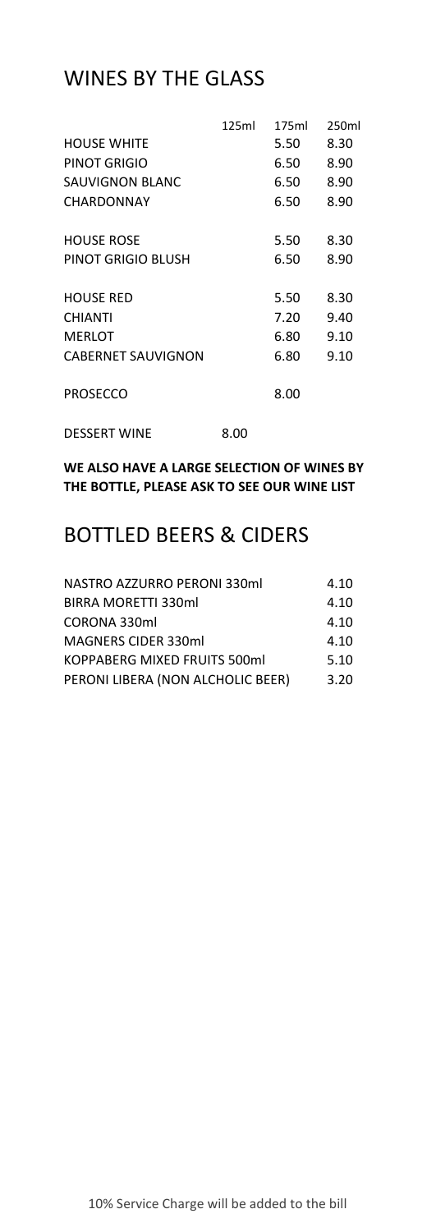### WINES BY THE GLASS

|                           | 125ml | 175ml | 250ml |
|---------------------------|-------|-------|-------|
| <b>HOUSE WHITE</b>        |       | 5.50  | 8.30  |
| PINOT GRIGIO              |       | 6.50  | 8.90  |
| SAUVIGNON BLANC           |       | 6.50  | 8.90  |
| CHARDONNAY                |       | 6.50  | 8.90  |
| <b>HOUSE ROSE</b>         |       | 5.50  | 8.30  |
| PINOT GRIGIO BLUSH        |       | 6.50  | 8.90  |
| <b>HOUSE RED</b>          |       | 5.50  | 8.30  |
| <b>CHIANTI</b>            |       | 7.20  | 9.40  |
| <b>MERLOT</b>             |       | 6.80  | 9.10  |
| <b>CABERNET SAUVIGNON</b> |       | 6.80  | 9.10  |
| <b>PROSECCO</b>           |       | 8.00  |       |
| <b>DESSERT WINE</b>       | 8.00  |       |       |

**WE ALSO HAVE A LARGE SELECTION OF WINES BY THE BOTTLE, PLEASE ASK TO SEE OUR WINE LIST**

#### BOTTLED BEERS & CIDERS

| NASTRO AZZURRO PERONI 330ml       | 4.10 |
|-----------------------------------|------|
| <b>BIRRA MORETTI 330ml</b>        | 4.10 |
| CORONA 330ml                      | 4.10 |
| <b>MAGNERS CIDER 330ml</b>        | 4.10 |
| KOPPABERG MIXED FRUITS 500ml      | 5.10 |
| PERONI LIBERA (NON ALCHOLIC BEER) | 3.20 |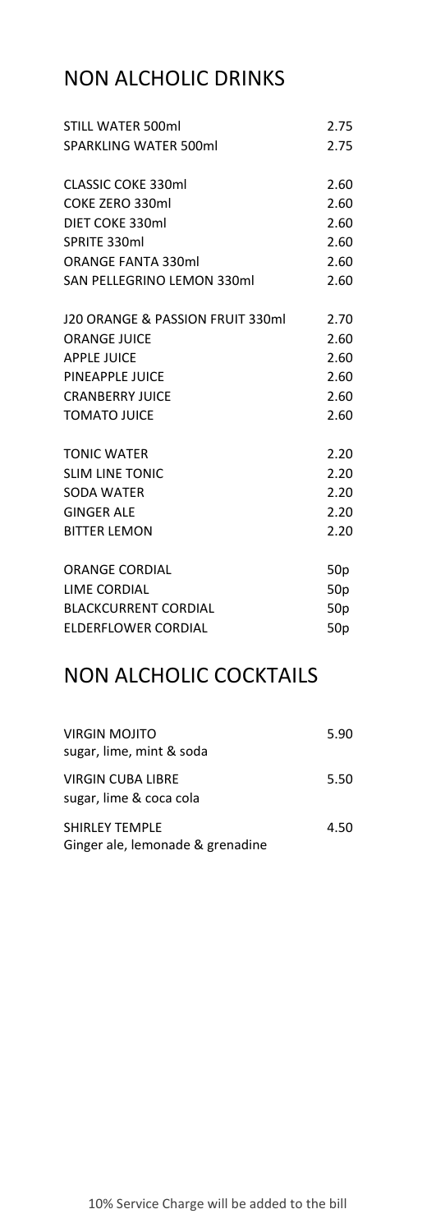# NON ALCHOLIC DRINKS

| <b>SPARKLING WATER 500ml</b><br><b>CLASSIC COKE 330ml</b><br>COKE ZERO 330ml<br>DIET COKE 330ml<br>SPRITE 330ml<br><b>ORANGE FANTA 330ml</b><br>SAN PELLEGRINO LEMON 330ml<br>J20 ORANGE & PASSION FRUIT 330mL<br><b>ORANGE JUICE</b><br><b>APPLE JUICE</b><br>PINEAPPLE JUICE<br><b>CRANBERRY IUICE</b><br><b>TOMATO JUICE</b> | 2.75<br>2.60<br>2.60<br>2.60<br>2.60<br>2.60 |
|---------------------------------------------------------------------------------------------------------------------------------------------------------------------------------------------------------------------------------------------------------------------------------------------------------------------------------|----------------------------------------------|
|                                                                                                                                                                                                                                                                                                                                 |                                              |
|                                                                                                                                                                                                                                                                                                                                 |                                              |
|                                                                                                                                                                                                                                                                                                                                 |                                              |
|                                                                                                                                                                                                                                                                                                                                 |                                              |
|                                                                                                                                                                                                                                                                                                                                 |                                              |
|                                                                                                                                                                                                                                                                                                                                 |                                              |
|                                                                                                                                                                                                                                                                                                                                 |                                              |
|                                                                                                                                                                                                                                                                                                                                 | 2.60                                         |
|                                                                                                                                                                                                                                                                                                                                 | 2.70                                         |
|                                                                                                                                                                                                                                                                                                                                 | 2.60                                         |
|                                                                                                                                                                                                                                                                                                                                 | 2.60                                         |
|                                                                                                                                                                                                                                                                                                                                 | 2.60                                         |
|                                                                                                                                                                                                                                                                                                                                 | 2.60                                         |
|                                                                                                                                                                                                                                                                                                                                 | 2.60                                         |
| <b>TONIC WATER</b>                                                                                                                                                                                                                                                                                                              | 2.20                                         |
| <b>SLIM LINE TONIC</b>                                                                                                                                                                                                                                                                                                          | 2.20                                         |
| <b>SODA WATER</b>                                                                                                                                                                                                                                                                                                               | 2.20                                         |
| <b>GINGER ALE</b>                                                                                                                                                                                                                                                                                                               | 2.20                                         |
| <b>BITTER LEMON</b>                                                                                                                                                                                                                                                                                                             | 2.20                                         |
| <b>ORANGE CORDIAL</b>                                                                                                                                                                                                                                                                                                           | 50p                                          |
| LIME CORDIAL                                                                                                                                                                                                                                                                                                                    | 50 <sub>p</sub>                              |
| <b>BLACKCURRENT CORDIAL</b>                                                                                                                                                                                                                                                                                                     | 50 <sub>p</sub>                              |
| ELDERFLOWER CORDIAL<br>50 <sub>p</sub>                                                                                                                                                                                                                                                                                          |                                              |

### NON ALCHOLIC COCKTAILS

| VIRGIN MOJITO<br>sugar, lime, mint & soda                 | 5.90 |
|-----------------------------------------------------------|------|
| VIRGIN CUBA LIBRE<br>sugar, lime & coca cola              | 5.50 |
| <b>SHIRLEY TEMPLE</b><br>Ginger ale, lemonade & grenadine | 4.50 |